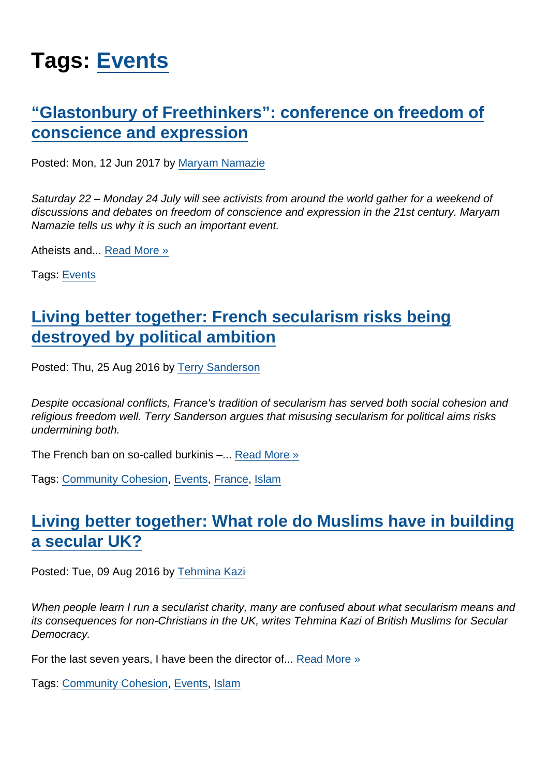# Tags: [Events](https://www.secularism.org.uk/opinion/tags/Events)

## ["Glastonbury of Freethinkers": conference on freedom of](https://www.secularism.org.uk/opinion/2017/06/glastonbury-of-freethinkers-the-need-for-an-international-conference-on-freedom-of-conscience-and-expression) [conscience and expression](https://www.secularism.org.uk/opinion/2017/06/glastonbury-of-freethinkers-the-need-for-an-international-conference-on-freedom-of-conscience-and-expression)

Posted: Mon, 12 Jun 2017 by [Maryam Namazie](https://www.secularism.org.uk/opinion/authors/867)

Saturday 22 – Monday 24 July will see activists from around the world gather for a weekend of discussions and debates on freedom of conscience and expression in the 21st century. Maryam Namazie tells us why it is such an important event.

Atheists and... [Read More »](https://www.secularism.org.uk/opinion/2017/06/glastonbury-of-freethinkers-the-need-for-an-international-conference-on-freedom-of-conscience-and-expression)

Tags: [Events](https://www.secularism.org.uk/opinion/tags/Events)

#### [Living better together: French secularism risks being](https://www.secularism.org.uk/opinion/2016/08/living-better-together-french-secularism-risks-being-destroyed-by-political-ambition) [destroyed by political ambition](https://www.secularism.org.uk/opinion/2016/08/living-better-together-french-secularism-risks-being-destroyed-by-political-ambition)

Posted: Thu, 25 Aug 2016 by [Terry Sanderson](https://www.secularism.org.uk/opinion/authors/850)

Despite occasional conflicts, France's tradition of secularism has served both social cohesion and religious freedom well. Terry Sanderson argues that misusing secularism for political aims risks undermining both.

The French ban on so-called burkinis –... [Read More »](https://www.secularism.org.uk/opinion/2016/08/living-better-together-french-secularism-risks-being-destroyed-by-political-ambition)

Tags: [Community Cohesion](https://www.secularism.org.uk/opinion/tags/Community+Cohesion), [Events](https://www.secularism.org.uk/opinion/tags/Events), [France](https://www.secularism.org.uk/opinion/tags/France), [Islam](https://www.secularism.org.uk/opinion/tags/Islam)

## [Living better together: What role do Muslims have in building](https://www.secularism.org.uk/opinion/2016/08/what-role-do-muslims-have-in-building-a-secular-uk) [a secular UK?](https://www.secularism.org.uk/opinion/2016/08/what-role-do-muslims-have-in-building-a-secular-uk)

Posted: Tue, 09 Aug 2016 by [Tehmina Kazi](https://www.secularism.org.uk/opinion/authors/965)

When people learn I run a secularist charity, many are confused about what secularism means and its consequences for non-Christians in the UK, writes Tehmina Kazi of British Muslims for Secular Democracy.

For the last seven years, I have been the director of... [Read More »](https://www.secularism.org.uk/opinion/2016/08/what-role-do-muslims-have-in-building-a-secular-uk)

Tags: [Community Cohesion](https://www.secularism.org.uk/opinion/tags/Community+Cohesion), [Events](https://www.secularism.org.uk/opinion/tags/Events), [Islam](https://www.secularism.org.uk/opinion/tags/Islam)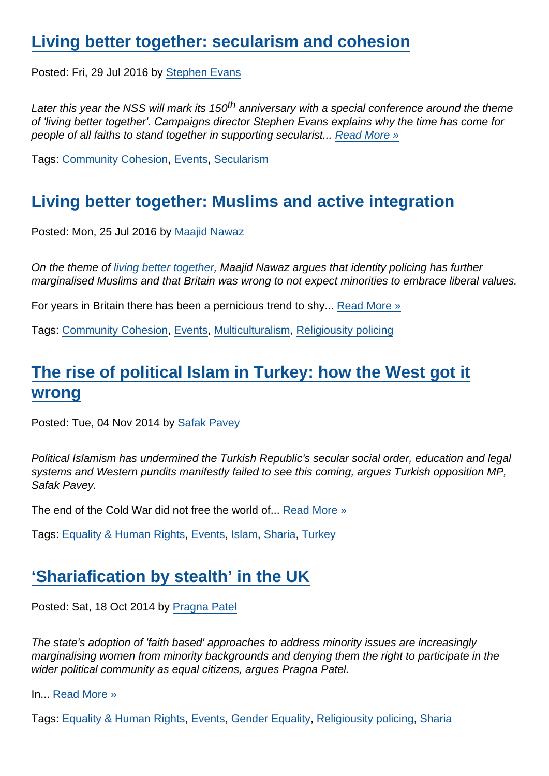#### [Living better together: secularism and cohesion](https://www.secularism.org.uk/opinion/2016/07/living-better-together-secularism-and-cohesion)

Posted: Fri, 29 Jul 2016 by [Stephen Evans](https://www.secularism.org.uk/opinion/authors/845)

Later this year the NSS will mark its 150<sup>th</sup> anniversary with a special conference around the theme of 'living better together'. Campaigns director Stephen Evans explains why the time has come for people of all faiths to stand together in supporting secularist... [Read More »](https://www.secularism.org.uk/opinion/2016/07/living-better-together-secularism-and-cohesion)

Tags: [Community Cohesion](https://www.secularism.org.uk/opinion/tags/Community+Cohesion), [Events](https://www.secularism.org.uk/opinion/tags/Events), [Secularism](https://www.secularism.org.uk/opinion/tags/Secularism)

#### [Living better together: Muslims and active integration](https://www.secularism.org.uk/opinion/2016/07/looking-outward-muslims-and-active-integration)

Posted: Mon, 25 Jul 2016 by [Maajid Nawaz](https://www.secularism.org.uk/opinion/authors/862)

On the theme of [living better together](https://www.secularism.org.uk/secularism2016.html), Maajid Nawaz argues that identity policing has further marginalised Muslims and that Britain was wrong to not expect minorities to embrace liberal values.

For years in Britain there has been a pernicious trend to shy... [Read More »](https://www.secularism.org.uk/opinion/2016/07/looking-outward-muslims-and-active-integration)

Tags: [Community Cohesion](https://www.secularism.org.uk/opinion/tags/Community+Cohesion), [Events](https://www.secularism.org.uk/opinion/tags/Events), [Multiculturalism,](https://www.secularism.org.uk/opinion/tags/Multiculturalism) [Religiousity policing](https://www.secularism.org.uk/opinion/tags/Religiousity+policing)

## [The rise of political Islam in Turkey: how the West got it](https://www.secularism.org.uk/opinion/2014/11/the-rise-of-political-islam-in-turkey-how-the-west-got-it-wrong) [wrong](https://www.secularism.org.uk/opinion/2014/11/the-rise-of-political-islam-in-turkey-how-the-west-got-it-wrong)

Posted: Tue, 04 Nov 2014 by [Safak Pavey](https://www.secularism.org.uk/opinion/authors/957)

Political Islamism has undermined the Turkish Republic's secular social order, education and legal systems and Western pundits manifestly failed to see this coming, argues Turkish opposition MP, Safak Pavey.

The end of the Cold War did not free the world of... [Read More »](https://www.secularism.org.uk/opinion/2014/11/the-rise-of-political-islam-in-turkey-how-the-west-got-it-wrong)

Tags: [Equality & Human Rights,](https://www.secularism.org.uk/opinion/tags/Equality+&+Human+Rights) [Events](https://www.secularism.org.uk/opinion/tags/Events), [Islam](https://www.secularism.org.uk/opinion/tags/Islam), [Sharia,](https://www.secularism.org.uk/opinion/tags/Sharia) [Turkey](https://www.secularism.org.uk/opinion/tags/Turkey)

#### ['Shariafication by stealth' in the UK](https://www.secularism.org.uk/opinion/2014/10/shariafication-by-stealth-in-the-uk)

Posted: Sat, 18 Oct 2014 by [Pragna Patel](https://www.secularism.org.uk/opinion/authors/949)

The state's adoption of 'faith based' approaches to address minority issues are increasingly marginalising women from minority backgrounds and denying them the right to participate in the wider political community as equal citizens, argues Pragna Patel.

In... [Read More »](https://www.secularism.org.uk/opinion/2014/10/shariafication-by-stealth-in-the-uk)

Tags: [Equality & Human Rights,](https://www.secularism.org.uk/opinion/tags/Equality+&+Human+Rights) [Events](https://www.secularism.org.uk/opinion/tags/Events), [Gender Equality,](https://www.secularism.org.uk/opinion/tags/Gender+Equality) [Religiousity policing,](https://www.secularism.org.uk/opinion/tags/Religiousity+policing) [Sharia](https://www.secularism.org.uk/opinion/tags/Sharia)